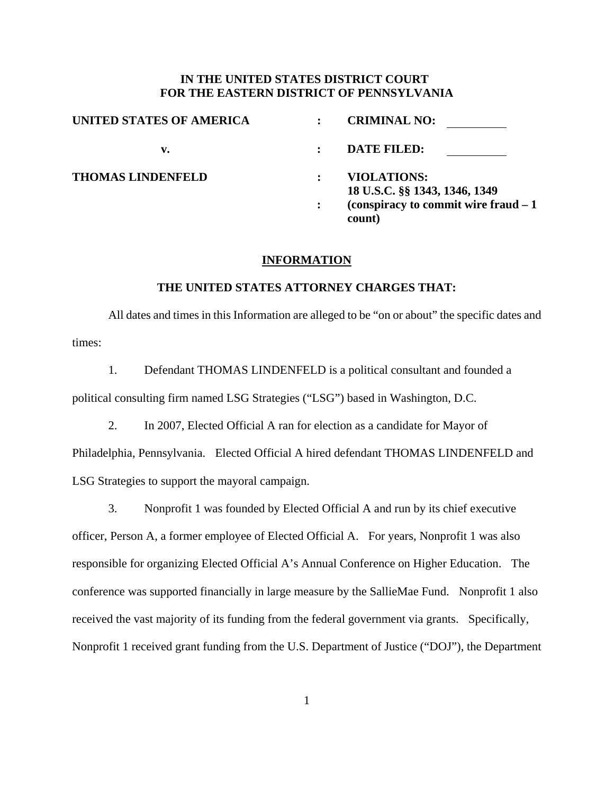# **IN THE UNITED STATES DISTRICT COURT FOR THE EASTERN DISTRICT OF PENNSYLVANIA**

| UNITED STATES OF AMERICA | <b>CRIMINAL NO:</b>                                 |  |
|--------------------------|-----------------------------------------------------|--|
| v.                       | <b>DATE FILED:</b>                                  |  |
| <b>THOMAS LINDENFELD</b> | <b>VIOLATIONS:</b><br>18 U.S.C. §§ 1343, 1346, 1349 |  |
|                          | (conspiracy to commit wire fraud $-1$ )<br>count)   |  |

#### **INFORMATION**

# **THE UNITED STATES ATTORNEY CHARGES THAT:**

All dates and times in this Information are alleged to be "on or about" the specific dates and times:

 1. Defendant THOMAS LINDENFELD is a political consultant and founded a political consulting firm named LSG Strategies ("LSG") based in Washington, D.C.

2. In 2007, Elected Official A ran for election as a candidate for Mayor of

Philadelphia, Pennsylvania. Elected Official A hired defendant THOMAS LINDENFELD and LSG Strategies to support the mayoral campaign.

 3. Nonprofit 1 was founded by Elected Official A and run by its chief executive officer, Person A, a former employee of Elected Official A. For years, Nonprofit 1 was also responsible for organizing Elected Official A's Annual Conference on Higher Education. The conference was supported financially in large measure by the SallieMae Fund. Nonprofit 1 also received the vast majority of its funding from the federal government via grants. Specifically, Nonprofit 1 received grant funding from the U.S. Department of Justice ("DOJ"), the Department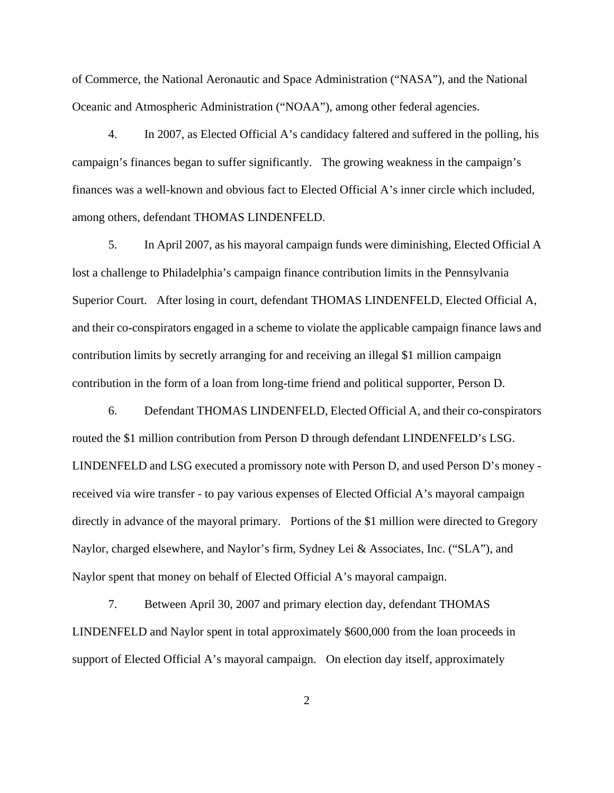of Commerce, the National Aeronautic and Space Administration ("NASA"), and the National Oceanic and Atmospheric Administration ("NOAA"), among other federal agencies.

 4. In 2007, as Elected Official A's candidacy faltered and suffered in the polling, his campaign's finances began to suffer significantly. The growing weakness in the campaign's finances was a well-known and obvious fact to Elected Official A's inner circle which included, among others, defendant THOMAS LINDENFELD.

 5. In April 2007, as his mayoral campaign funds were diminishing, Elected Official A lost a challenge to Philadelphia's campaign finance contribution limits in the Pennsylvania Superior Court. After losing in court, defendant THOMAS LINDENFELD, Elected Official A, and their co-conspirators engaged in a scheme to violate the applicable campaign finance laws and contribution limits by secretly arranging for and receiving an illegal \$1 million campaign contribution in the form of a loan from long-time friend and political supporter, Person D.

 6. Defendant THOMAS LINDENFELD, Elected Official A, and their co-conspirators routed the \$1 million contribution from Person D through defendant LINDENFELD's LSG. LINDENFELD and LSG executed a promissory note with Person D, and used Person D's money received via wire transfer - to pay various expenses of Elected Official A's mayoral campaign directly in advance of the mayoral primary. Portions of the \$1 million were directed to Gregory Naylor, charged elsewhere, and Naylor's firm, Sydney Lei & Associates, Inc. ("SLA"), and Naylor spent that money on behalf of Elected Official A's mayoral campaign.

 7. Between April 30, 2007 and primary election day, defendant THOMAS LINDENFELD and Naylor spent in total approximately \$600,000 from the loan proceeds in support of Elected Official A's mayoral campaign. On election day itself, approximately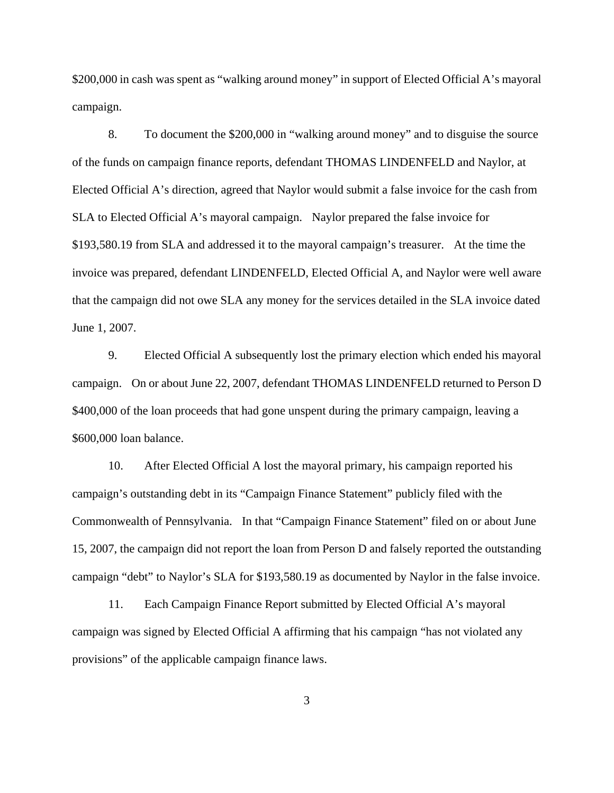\$200,000 in cash was spent as "walking around money" in support of Elected Official A's mayoral campaign.

 8. To document the \$200,000 in "walking around money" and to disguise the source of the funds on campaign finance reports, defendant THOMAS LINDENFELD and Naylor, at Elected Official A's direction, agreed that Naylor would submit a false invoice for the cash from SLA to Elected Official A's mayoral campaign. Naylor prepared the false invoice for \$193,580.19 from SLA and addressed it to the mayoral campaign's treasurer. At the time the invoice was prepared, defendant LINDENFELD, Elected Official A, and Naylor were well aware that the campaign did not owe SLA any money for the services detailed in the SLA invoice dated June 1, 2007.

 9. Elected Official A subsequently lost the primary election which ended his mayoral campaign. On or about June 22, 2007, defendant THOMAS LINDENFELD returned to Person D \$400,000 of the loan proceeds that had gone unspent during the primary campaign, leaving a \$600,000 loan balance.

 10. After Elected Official A lost the mayoral primary, his campaign reported his campaign's outstanding debt in its "Campaign Finance Statement" publicly filed with the Commonwealth of Pennsylvania. In that "Campaign Finance Statement" filed on or about June 15, 2007, the campaign did not report the loan from Person D and falsely reported the outstanding campaign "debt" to Naylor's SLA for \$193,580.19 as documented by Naylor in the false invoice.

 11. Each Campaign Finance Report submitted by Elected Official A's mayoral campaign was signed by Elected Official A affirming that his campaign "has not violated any provisions" of the applicable campaign finance laws.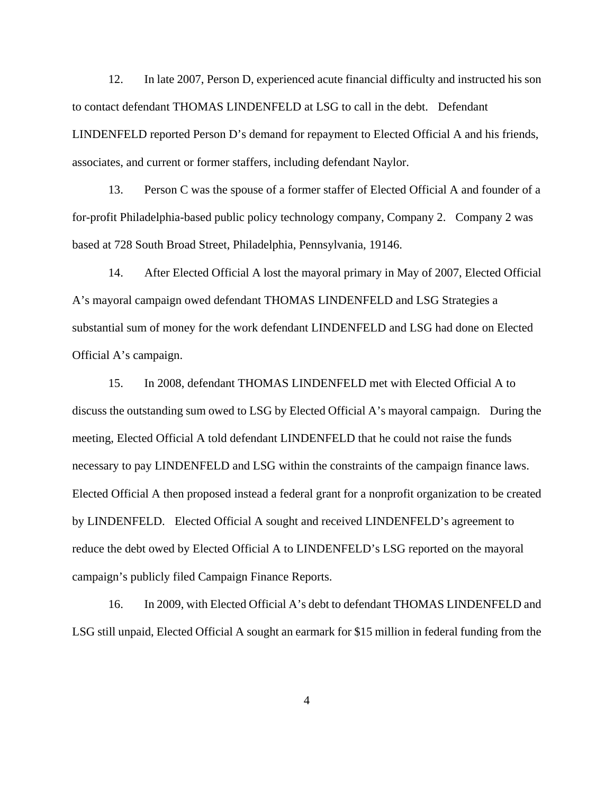12. In late 2007, Person D, experienced acute financial difficulty and instructed his son to contact defendant THOMAS LINDENFELD at LSG to call in the debt. Defendant LINDENFELD reported Person D's demand for repayment to Elected Official A and his friends, associates, and current or former staffers, including defendant Naylor.

 13. Person C was the spouse of a former staffer of Elected Official A and founder of a for-profit Philadelphia-based public policy technology company, Company 2. Company 2 was based at 728 South Broad Street, Philadelphia, Pennsylvania, 19146.

 14. After Elected Official A lost the mayoral primary in May of 2007, Elected Official A's mayoral campaign owed defendant THOMAS LINDENFELD and LSG Strategies a substantial sum of money for the work defendant LINDENFELD and LSG had done on Elected Official A's campaign.

 15. In 2008, defendant THOMAS LINDENFELD met with Elected Official A to discuss the outstanding sum owed to LSG by Elected Official A's mayoral campaign. During the meeting, Elected Official A told defendant LINDENFELD that he could not raise the funds necessary to pay LINDENFELD and LSG within the constraints of the campaign finance laws. Elected Official A then proposed instead a federal grant for a nonprofit organization to be created by LINDENFELD. Elected Official A sought and received LINDENFELD's agreement to reduce the debt owed by Elected Official A to LINDENFELD's LSG reported on the mayoral campaign's publicly filed Campaign Finance Reports.

 16. In 2009, with Elected Official A's debt to defendant THOMAS LINDENFELD and LSG still unpaid, Elected Official A sought an earmark for \$15 million in federal funding from the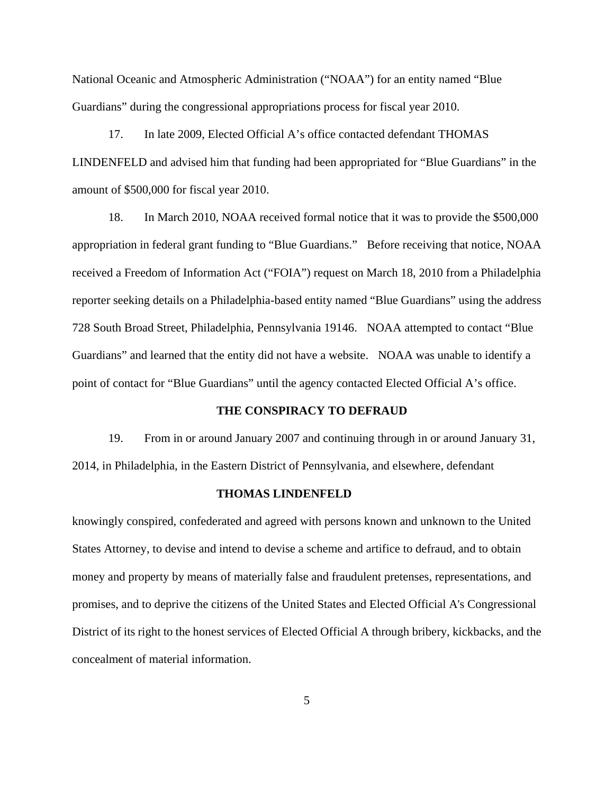National Oceanic and Atmospheric Administration ("NOAA") for an entity named "Blue Guardians" during the congressional appropriations process for fiscal year 2010.

 17. In late 2009, Elected Official A's office contacted defendant THOMAS LINDENFELD and advised him that funding had been appropriated for "Blue Guardians" in the amount of \$500,000 for fiscal year 2010.

 18. In March 2010, NOAA received formal notice that it was to provide the \$500,000 appropriation in federal grant funding to "Blue Guardians." Before receiving that notice, NOAA received a Freedom of Information Act ("FOIA") request on March 18, 2010 from a Philadelphia reporter seeking details on a Philadelphia-based entity named "Blue Guardians" using the address 728 South Broad Street, Philadelphia, Pennsylvania 19146. NOAA attempted to contact "Blue Guardians" and learned that the entity did not have a website. NOAA was unable to identify a point of contact for "Blue Guardians" until the agency contacted Elected Official A's office.

#### **THE CONSPIRACY TO DEFRAUD**

 19. From in or around January 2007 and continuing through in or around January 31, 2014, in Philadelphia, in the Eastern District of Pennsylvania, and elsewhere, defendant

#### **THOMAS LINDENFELD**

knowingly conspired, confederated and agreed with persons known and unknown to the United States Attorney, to devise and intend to devise a scheme and artifice to defraud, and to obtain money and property by means of materially false and fraudulent pretenses, representations, and promises, and to deprive the citizens of the United States and Elected Official A's Congressional District of its right to the honest services of Elected Official A through bribery, kickbacks, and the concealment of material information.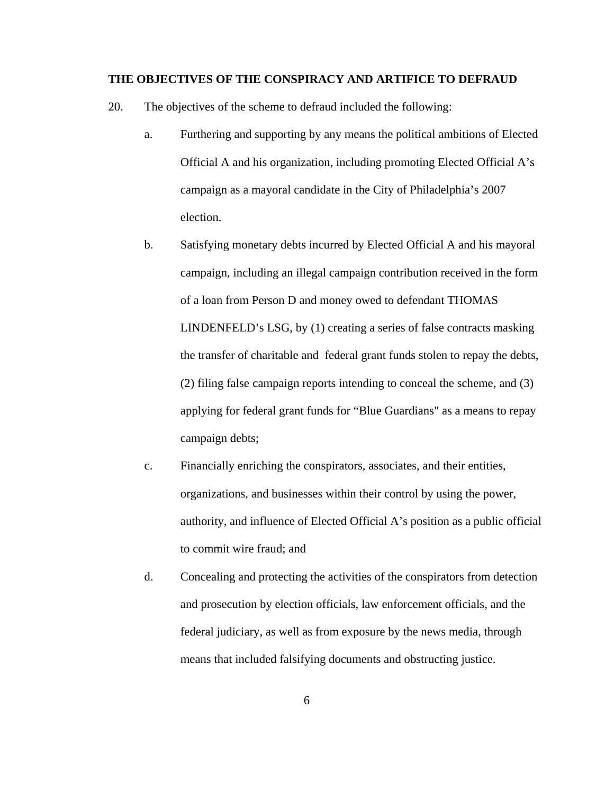#### **THE OBJECTIVES OF THE CONSPIRACY AND ARTIFICE TO DEFRAUD**

- 20. The objectives of the scheme to defraud included the following:
	- a. Furthering and supporting by any means the political ambitions of Elected Official A and his organization, including promoting Elected Official A's campaign as a mayoral candidate in the City of Philadelphia's 2007 election.
	- b. Satisfying monetary debts incurred by Elected Official A and his mayoral campaign, including an illegal campaign contribution received in the form of a loan from Person D and money owed to defendant THOMAS LINDENFELD's LSG, by (1) creating a series of false contracts masking the transfer of charitable and federal grant funds stolen to repay the debts, (2) filing false campaign reports intending to conceal the scheme, and (3) applying for federal grant funds for "Blue Guardians" as a means to repay campaign debts;
	- c. Financially enriching the conspirators, associates, and their entities, organizations, and businesses within their control by using the power, authority, and influence of Elected Official A's position as a public official to commit wire fraud; and
	- d. Concealing and protecting the activities of the conspirators from detection and prosecution by election officials, law enforcement officials, and the federal judiciary, as well as from exposure by the news media, through means that included falsifying documents and obstructing justice.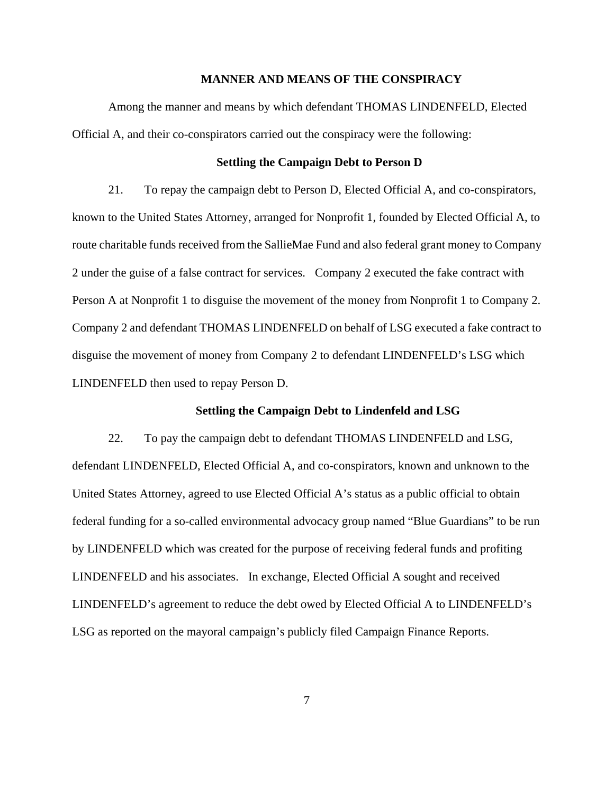#### **MANNER AND MEANS OF THE CONSPIRACY**

 Among the manner and means by which defendant THOMAS LINDENFELD, Elected Official A, and their co-conspirators carried out the conspiracy were the following:

## **Settling the Campaign Debt to Person D**

 21. To repay the campaign debt to Person D, Elected Official A, and co-conspirators, known to the United States Attorney, arranged for Nonprofit 1, founded by Elected Official A, to route charitable funds received from the SallieMae Fund and also federal grant money to Company 2 under the guise of a false contract for services. Company 2 executed the fake contract with Person A at Nonprofit 1 to disguise the movement of the money from Nonprofit 1 to Company 2. Company 2 and defendant THOMAS LINDENFELD on behalf of LSG executed a fake contract to disguise the movement of money from Company 2 to defendant LINDENFELD's LSG which LINDENFELD then used to repay Person D.

## **Settling the Campaign Debt to Lindenfeld and LSG**

22. To pay the campaign debt to defendant THOMAS LINDENFELD and LSG, defendant LINDENFELD, Elected Official A, and co-conspirators, known and unknown to the United States Attorney, agreed to use Elected Official A's status as a public official to obtain federal funding for a so-called environmental advocacy group named "Blue Guardians" to be run by LINDENFELD which was created for the purpose of receiving federal funds and profiting LINDENFELD and his associates. In exchange, Elected Official A sought and received LINDENFELD's agreement to reduce the debt owed by Elected Official A to LINDENFELD's LSG as reported on the mayoral campaign's publicly filed Campaign Finance Reports.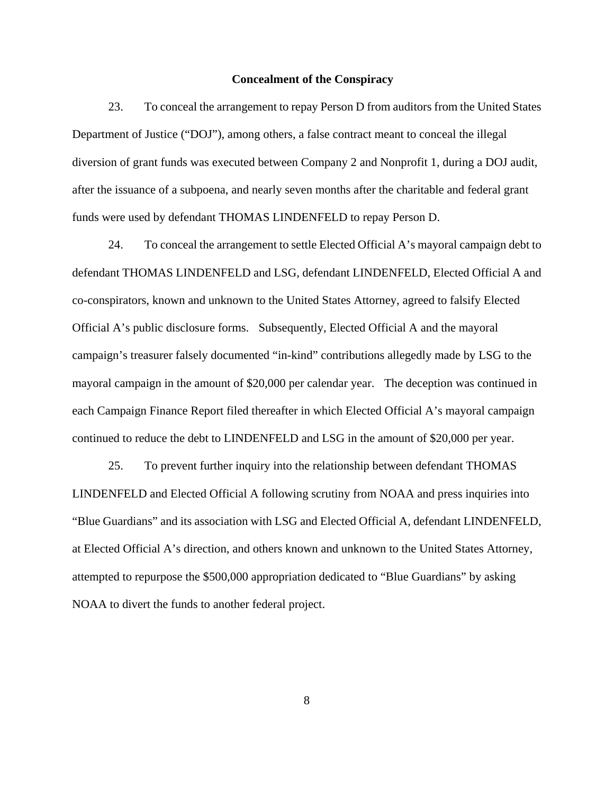### **Concealment of the Conspiracy**

23. To conceal the arrangement to repay Person D from auditors from the United States Department of Justice ("DOJ"), among others, a false contract meant to conceal the illegal diversion of grant funds was executed between Company 2 and Nonprofit 1, during a DOJ audit, after the issuance of a subpoena, and nearly seven months after the charitable and federal grant funds were used by defendant THOMAS LINDENFELD to repay Person D.

24. To conceal the arrangement to settle Elected Official A's mayoral campaign debt to defendant THOMAS LINDENFELD and LSG, defendant LINDENFELD, Elected Official A and co-conspirators, known and unknown to the United States Attorney, agreed to falsify Elected Official A's public disclosure forms. Subsequently, Elected Official A and the mayoral campaign's treasurer falsely documented "in-kind" contributions allegedly made by LSG to the mayoral campaign in the amount of \$20,000 per calendar year. The deception was continued in each Campaign Finance Report filed thereafter in which Elected Official A's mayoral campaign continued to reduce the debt to LINDENFELD and LSG in the amount of \$20,000 per year.

 25. To prevent further inquiry into the relationship between defendant THOMAS LINDENFELD and Elected Official A following scrutiny from NOAA and press inquiries into "Blue Guardians" and its association with LSG and Elected Official A, defendant LINDENFELD, at Elected Official A's direction, and others known and unknown to the United States Attorney, attempted to repurpose the \$500,000 appropriation dedicated to "Blue Guardians" by asking NOAA to divert the funds to another federal project.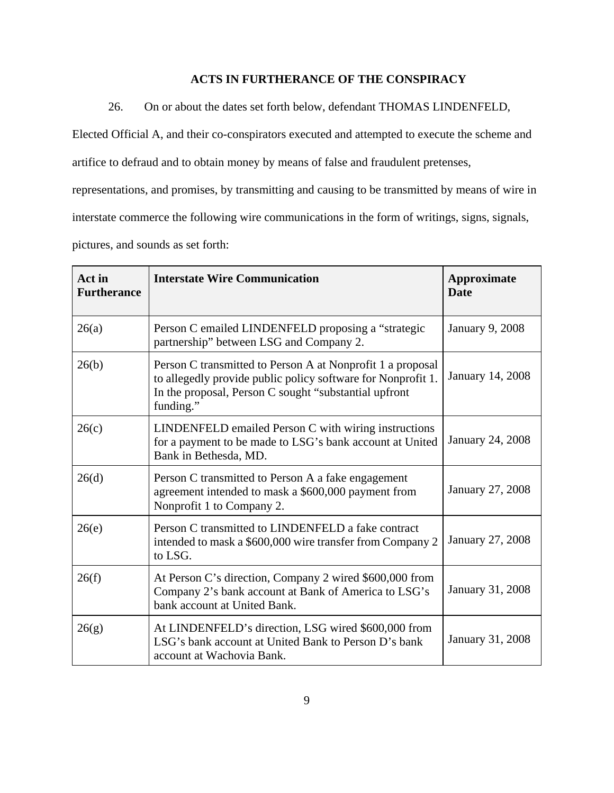# **ACTS IN FURTHERANCE OF THE CONSPIRACY**

26. On or about the dates set forth below, defendant THOMAS LINDENFELD,

Elected Official A, and their co-conspirators executed and attempted to execute the scheme and

artifice to defraud and to obtain money by means of false and fraudulent pretenses,

representations, and promises, by transmitting and causing to be transmitted by means of wire in

interstate commerce the following wire communications in the form of writings, signs, signals,

pictures, and sounds as set forth:

| Act in<br><b>Furtherance</b> | <b>Interstate Wire Communication</b>                                                                                                                                                             | <b>Approximate</b><br><b>Date</b> |
|------------------------------|--------------------------------------------------------------------------------------------------------------------------------------------------------------------------------------------------|-----------------------------------|
| 26(a)                        | Person C emailed LINDENFELD proposing a "strategic<br>partnership" between LSG and Company 2.                                                                                                    | <b>January 9, 2008</b>            |
| 26(b)                        | Person C transmitted to Person A at Nonprofit 1 a proposal<br>to allegedly provide public policy software for Nonprofit 1.<br>In the proposal, Person C sought "substantial upfront<br>funding." | January 14, 2008                  |
| 26(c)                        | LINDENFELD emailed Person C with wiring instructions<br>for a payment to be made to LSG's bank account at United<br>Bank in Bethesda, MD.                                                        | January 24, 2008                  |
| 26(d)                        | Person C transmitted to Person A a fake engagement<br>agreement intended to mask a \$600,000 payment from<br>Nonprofit 1 to Company 2.                                                           | January 27, 2008                  |
| 26(e)                        | Person C transmitted to LINDENFELD a fake contract<br>intended to mask a \$600,000 wire transfer from Company 2<br>to LSG.                                                                       | January 27, 2008                  |
| 26(f)                        | At Person C's direction, Company 2 wired \$600,000 from<br>Company 2's bank account at Bank of America to LSG's<br>bank account at United Bank.                                                  | January 31, 2008                  |
| 26(g)                        | At LINDENFELD's direction, LSG wired \$600,000 from<br>LSG's bank account at United Bank to Person D's bank<br>account at Wachovia Bank.                                                         | January 31, 2008                  |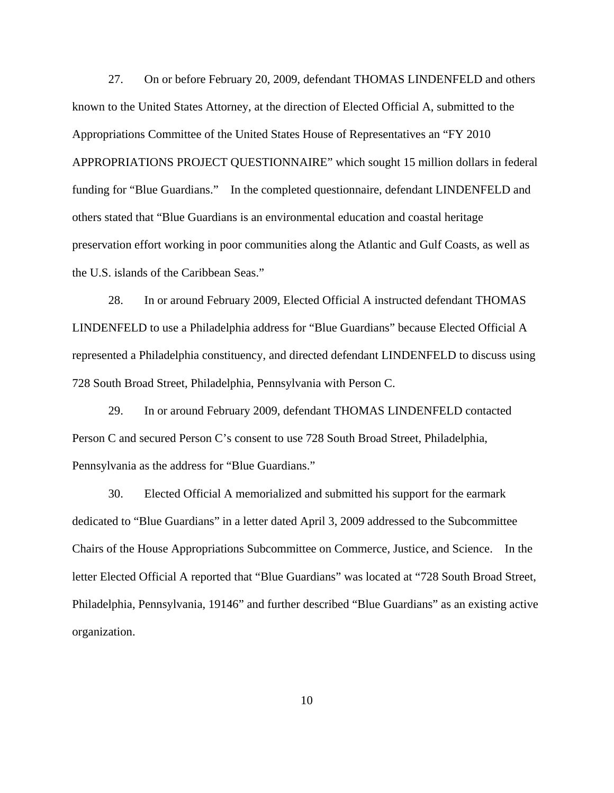27. On or before February 20, 2009, defendant THOMAS LINDENFELD and others known to the United States Attorney, at the direction of Elected Official A, submitted to the Appropriations Committee of the United States House of Representatives an "FY 2010 APPROPRIATIONS PROJECT QUESTIONNAIRE" which sought 15 million dollars in federal funding for "Blue Guardians." In the completed questionnaire, defendant LINDENFELD and others stated that "Blue Guardians is an environmental education and coastal heritage preservation effort working in poor communities along the Atlantic and Gulf Coasts, as well as the U.S. islands of the Caribbean Seas."

 28. In or around February 2009, Elected Official A instructed defendant THOMAS LINDENFELD to use a Philadelphia address for "Blue Guardians" because Elected Official A represented a Philadelphia constituency, and directed defendant LINDENFELD to discuss using 728 South Broad Street, Philadelphia, Pennsylvania with Person C.

 29. In or around February 2009, defendant THOMAS LINDENFELD contacted Person C and secured Person C's consent to use 728 South Broad Street, Philadelphia, Pennsylvania as the address for "Blue Guardians."

 30. Elected Official A memorialized and submitted his support for the earmark dedicated to "Blue Guardians" in a letter dated April 3, 2009 addressed to the Subcommittee Chairs of the House Appropriations Subcommittee on Commerce, Justice, and Science. In the letter Elected Official A reported that "Blue Guardians" was located at "728 South Broad Street, Philadelphia, Pennsylvania, 19146" and further described "Blue Guardians" as an existing active organization.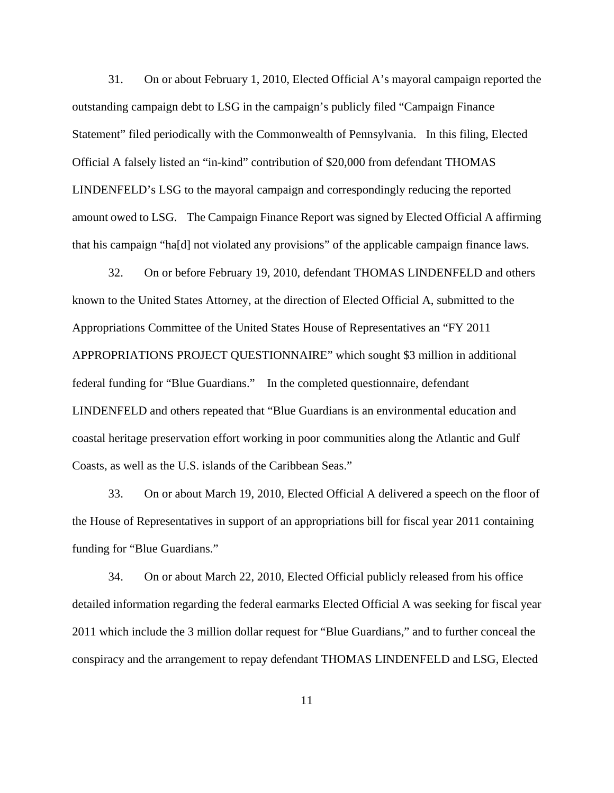31. On or about February 1, 2010, Elected Official A's mayoral campaign reported the outstanding campaign debt to LSG in the campaign's publicly filed "Campaign Finance Statement" filed periodically with the Commonwealth of Pennsylvania. In this filing, Elected Official A falsely listed an "in-kind" contribution of \$20,000 from defendant THOMAS LINDENFELD's LSG to the mayoral campaign and correspondingly reducing the reported amount owed to LSG. The Campaign Finance Report was signed by Elected Official A affirming that his campaign "ha[d] not violated any provisions" of the applicable campaign finance laws.

 32. On or before February 19, 2010, defendant THOMAS LINDENFELD and others known to the United States Attorney, at the direction of Elected Official A, submitted to the Appropriations Committee of the United States House of Representatives an "FY 2011 APPROPRIATIONS PROJECT QUESTIONNAIRE" which sought \$3 million in additional federal funding for "Blue Guardians." In the completed questionnaire, defendant LINDENFELD and others repeated that "Blue Guardians is an environmental education and coastal heritage preservation effort working in poor communities along the Atlantic and Gulf Coasts, as well as the U.S. islands of the Caribbean Seas."

 33. On or about March 19, 2010, Elected Official A delivered a speech on the floor of the House of Representatives in support of an appropriations bill for fiscal year 2011 containing funding for "Blue Guardians."

 34. On or about March 22, 2010, Elected Official publicly released from his office detailed information regarding the federal earmarks Elected Official A was seeking for fiscal year 2011 which include the 3 million dollar request for "Blue Guardians," and to further conceal the conspiracy and the arrangement to repay defendant THOMAS LINDENFELD and LSG, Elected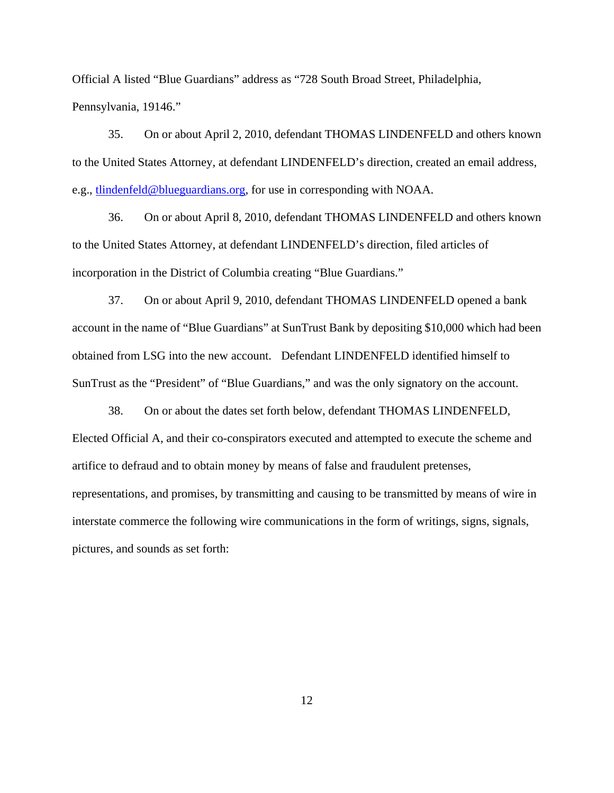Official A listed "Blue Guardians" address as "728 South Broad Street, Philadelphia, Pennsylvania, 19146."

 35. On or about April 2, 2010, defendant THOMAS LINDENFELD and others known to the United States Attorney, at defendant LINDENFELD's direction, created an email address, e.g., tlindenfeld@blueguardians.org, for use in corresponding with NOAA.

 36. On or about April 8, 2010, defendant THOMAS LINDENFELD and others known to the United States Attorney, at defendant LINDENFELD's direction, filed articles of incorporation in the District of Columbia creating "Blue Guardians."

 37. On or about April 9, 2010, defendant THOMAS LINDENFELD opened a bank account in the name of "Blue Guardians" at SunTrust Bank by depositing \$10,000 which had been obtained from LSG into the new account. Defendant LINDENFELD identified himself to SunTrust as the "President" of "Blue Guardians," and was the only signatory on the account.

 38. On or about the dates set forth below, defendant THOMAS LINDENFELD, Elected Official A, and their co-conspirators executed and attempted to execute the scheme and artifice to defraud and to obtain money by means of false and fraudulent pretenses, representations, and promises, by transmitting and causing to be transmitted by means of wire in interstate commerce the following wire communications in the form of writings, signs, signals, pictures, and sounds as set forth: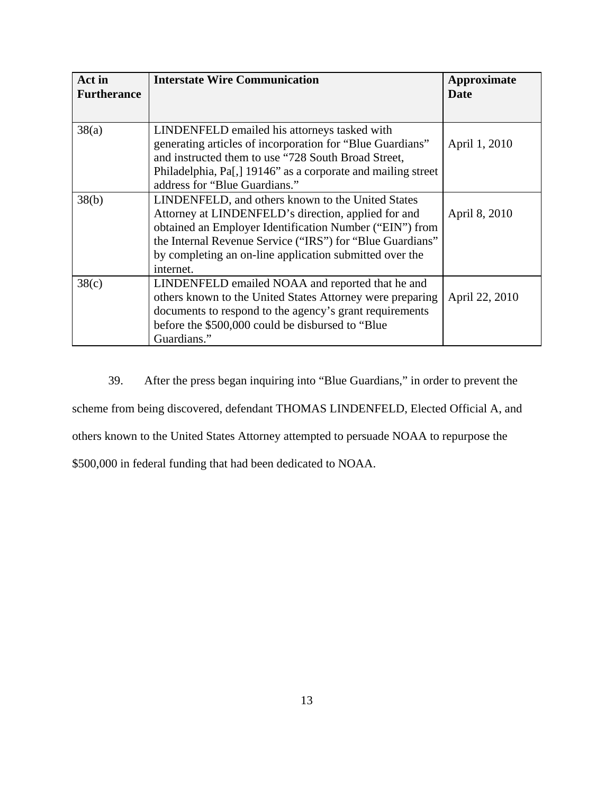| Act in<br><b>Furtherance</b> | <b>Interstate Wire Communication</b>                                                                                                                                                                                                                                                                     | Approximate<br>Date |
|------------------------------|----------------------------------------------------------------------------------------------------------------------------------------------------------------------------------------------------------------------------------------------------------------------------------------------------------|---------------------|
| 38(a)                        | LINDENFELD emailed his attorneys tasked with<br>generating articles of incorporation for "Blue Guardians"<br>and instructed them to use "728 South Broad Street,<br>Philadelphia, Pa[,] 19146" as a corporate and mailing street<br>address for "Blue Guardians."                                        | April 1, 2010       |
| 38(b)                        | LINDENFELD, and others known to the United States<br>Attorney at LINDENFELD's direction, applied for and<br>obtained an Employer Identification Number ("EIN") from<br>the Internal Revenue Service ("IRS") for "Blue Guardians"<br>by completing an on-line application submitted over the<br>internet. | April 8, 2010       |
| 38(c)                        | LINDENFELD emailed NOAA and reported that he and<br>others known to the United States Attorney were preparing<br>documents to respond to the agency's grant requirements<br>before the \$500,000 could be disbursed to "Blue"<br>Guardians."                                                             | April 22, 2010      |

39. After the press began inquiring into "Blue Guardians," in order to prevent the scheme from being discovered, defendant THOMAS LINDENFELD, Elected Official A, and others known to the United States Attorney attempted to persuade NOAA to repurpose the \$500,000 in federal funding that had been dedicated to NOAA.